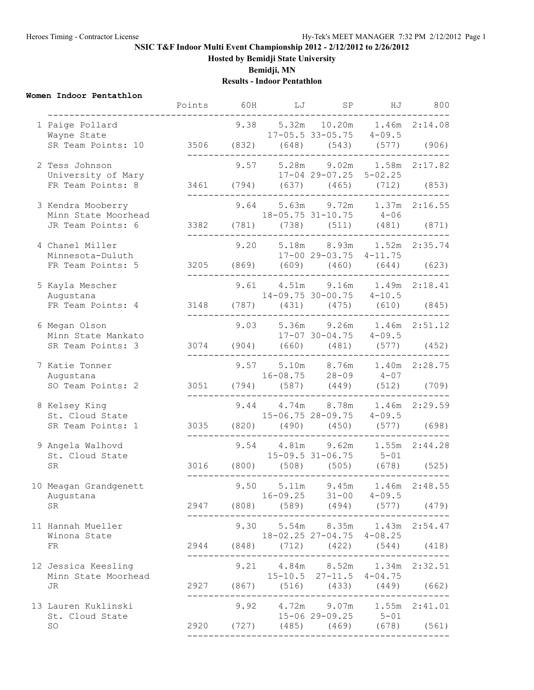# **NSIC T&F Indoor Multi Event Championship 2012 - 2/12/2012 to 2/26/2012**

**Hosted by Bemidji State University**

**Bemidji, MN**

#### **Results - Indoor Pentathlon**

#### **Women Indoor Pentathlon**

|  |                                                                                         | Points | 60H | LJ | SP                                                                                              | ΗJ                   | 800 |
|--|-----------------------------------------------------------------------------------------|--------|-----|----|-------------------------------------------------------------------------------------------------|----------------------|-----|
|  | 1 Paige Pollard<br>Wayne State<br>SR Team Points: 10 3506 (832) (648) (543) (577) (906) |        |     |    | 9.38 5.32m 10.20m 1.46m 2:14.08<br>$17-05.5$ 33-05.75 $4-09.5$                                  |                      |     |
|  | 2 Tess Johnson<br>University of Mary                                                    |        |     |    | 9.57 5.28m 9.02m 1.58m 2:17.82<br>17-04 29-07.25 5-02.25                                        |                      |     |
|  | FR Team Points: 8                                                                       |        |     |    | 3461 (794) (637) (465) (712) (853)<br>_____________________________                             |                      |     |
|  | 3 Kendra Mooberry<br>Minn State Moorhead                                                |        |     |    | 9.64 5.63m 9.72m 1.37m 2:16.55<br>$18 - 05.75$ $31 - 10.75$ $4 - 06$                            |                      |     |
|  | JR Team Points: 6                                                                       |        |     |    | 3382 (781) (738) (511) (481) (871)                                                              | -------------------- |     |
|  | 4 Chanel Miller<br>Minnesota-Duluth                                                     |        |     |    | 9.20 5.18m 8.93m 1.52m 2:35.74<br>17-00 29-03.75 4-11.75                                        |                      |     |
|  | FR Team Points: 5                                                                       |        |     |    | 3205 (869) (609) (460) (644) (623)                                                              |                      |     |
|  | 5 Kayla Mescher<br>Augustana                                                            |        |     |    | 9.61  4.51m  9.16m  1.49m  2:18.41<br>$14-09.75$ 30-00.75 $4-10.5$                              |                      |     |
|  | FR Team Points: 4                                                                       |        |     |    | 3148 (787) (431) (475) (610) (845)                                                              |                      |     |
|  | 6 Megan Olson<br>Minn State Mankato<br>SR Team Points: 3                                |        |     |    | 9.03 5.36m 9.26m 1.46m 2:51.12<br>$17-07$ 30-04.75 4-09.5<br>3074 (904) (660) (481) (577) (452) |                      |     |
|  |                                                                                         |        |     |    | 9.57 5.10m 8.76m 1.40m 2:28.75                                                                  |                      |     |
|  | 7 Katie Tonner<br>Augustana<br>SO Team Points: 2 3051 (794) (587) (449) (512) (709)     |        |     |    | $16 - 08.75$ 28-09 $4 - 07$                                                                     |                      |     |
|  | 8 Kelsey King                                                                           |        |     |    | 9.44 4.74m 8.78m 1.46m 2:29.59                                                                  |                      |     |
|  | St. Cloud State<br>SR Team Points: 1                                                    |        |     |    | $15-06.75$ $28-09.75$ $4-09.5$<br>3035 (820) (490) (450) (577) (698)                            | -------------------  |     |
|  | 9 Angela Walhovd<br>St. Cloud State                                                     |        |     |    | 9.54  4.81m  9.62m  1.55m  2:44.28<br>$15-09.5$ $31-06.75$ $5-01$                               |                      |     |
|  | ${\rm SR}$                                                                              |        |     |    | 3016 (800) (508) (505) (678) (525)                                                              |                      |     |
|  | 10 Meagan Grandgenett<br>Augustana                                                      |        |     |    | 9.50 5.11m 9.45m 1.46m 2:48.55<br>$16-09.25$ $31-00$ $4-09.5$                                   |                      |     |
|  | SR                                                                                      |        |     |    | 2947 (808) (589) (494) (577) (479)                                                              |                      |     |
|  | 11 Hannah Mueller<br>Winona State                                                       |        |     |    | 9.30 5.54m 8.35m 1.43m 2:54.47<br>18-02.25 27-04.75 4-08.25                                     |                      |     |
|  | FR                                                                                      |        |     |    | 2944 (848) (712) (422) (544) (418)<br>-----------------------------------                       |                      |     |
|  | 12 Jessica Keesling<br>Minn State Moorhead                                              |        |     |    | 9.21  4.84m  8.52m  1.34m  2:32.51<br>$15 - 10.5$ $27 - 11.5$ $4 - 04.75$                       |                      |     |
|  | JR                                                                                      |        |     |    | 2927 (867) (516) (433) (449) (662)<br>---------------------------                               |                      |     |
|  | 13 Lauren Kuklinski<br>St. Cloud State                                                  |        |     |    | 9.92  4.72m  9.07m  1.55m  2:41.01<br>15-06 29-09.25 5-01                                       |                      |     |
|  | SO                                                                                      |        |     |    | 2920 (727) (485) (469) (678) (561)                                                              |                      |     |
|  |                                                                                         |        |     |    |                                                                                                 |                      |     |